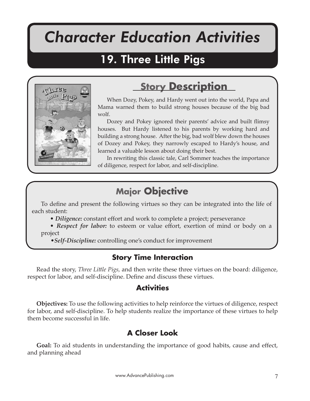# *Character Education Activities*

Three Little Pigs

# 19. Three Little Pigs



# **Story Description**

When Dozy, Pokey, and Hardy went out into the world, Papa and Mama warned them to build strong houses because of the big bad wolf.

Dozey and Pokey ignored their parents' advice and built flimsy houses. But Hardy listened to his parents by working hard and building a strong house. After the big, bad wolf blew down the houses of Dozey and Pokey, they narrowly escaped to Hardy's house, and learned a valuable lesson about doing their best.

In rewriting this classic tale, Carl Sommer teaches the importance of diligence, respect for labor, and self-discipline.

# **Major Objective**

To define and present the following virtues so they can be integrated into the life of each student:

• *Diligence:* constant effort and work to complete a project; perseverance

• *Respect for labor:* to esteem or value effort, exertion of mind or body on a project

•*Self-Discipline:* controlling one's conduct for improvement

# **Story Time Interaction**

Read the story, *Three Li�le Pigs,* and then write these three virtues on the board: diligence, respect for labor, and self-discipline. Define and discuss these virtues.

## **Activities**

**Objectives:** To use the following activities to help reinforce the virtues of diligence, respect for labor, and self-discipline. To help students realize the importance of these virtues to help them become successful in life.

# **A Closer Look**

**Goal:** To aid students in understanding the importance of good habits, cause and effect, and planning ahead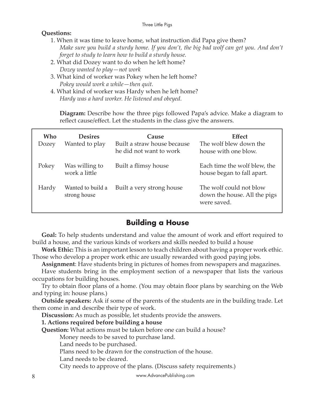#### **Questions:**

- 1. When it was time to leave home, what instruction did Papa give them? *Make sure you build a sturdy home. If you don't, the big bad wolf can get you. And don't forget to study to learn how to build a sturdy house.*
- 2. What did Dozey want to do when he left home? *Dozey wanted to play—not work*
- 3. What kind of worker was Pokey when he left home? *Pokey would work a while—then quit.*
- 4. What kind of worker was Hardy when he left home? *Hardy was a hard worker. He listened and obeyed.*

**Diagram:** Describe how the three pigs followed Papa's advice. Make a diagram to reflect cause/effect. Let the students in the class give the answers.

| Who<br>Dozey | <b>Desires</b><br>Wanted to play  | Cause<br>Built a straw house because<br>he did not want to work | <b>Effect</b><br>The wolf blew down the<br>house with one blow.        |
|--------------|-----------------------------------|-----------------------------------------------------------------|------------------------------------------------------------------------|
| Pokey        | Was willing to<br>work a little   | Built a flimsy house                                            | Each time the wolf blew, the<br>house began to fall apart.             |
| Hardy        | Wanted to build a<br>strong house | Built a very strong house                                       | The wolf could not blow<br>down the house. All the pigs<br>were saved. |

### **Building a House**

**Goal:** To help students understand and value the amount of work and effort required to build a house, and the various kinds of workers and skills needed to build a house

**Work Ethic:** This is an important lesson to teach children about having a proper work ethic. Those who develop a proper work ethic are usually rewarded with good paying jobs.

**Assignment**: Have students bring in pictures of homes from newspapers and magazines.

Have students bring in the employment section of a newspaper that lists the various occupations for building houses.

Try to obtain floor plans of a home. (You may obtain floor plans by searching on the Web and typing in: house plans.)

**Outside speakers:** Ask if some of the parents of the students are in the building trade. Let them come in and describe their type of work.

**Discussion:** As much as possible, let students provide the answers.

#### **1. Actions required before building a house**

**Question:** What actions must be taken before one can build a house?

Money needs to be saved to purchase land.

Land needs to be purchased.

Plans need to be drawn for the construction of the house.

Land needs to be cleared.

City needs to approve of the plans. (Discuss safety requirements.)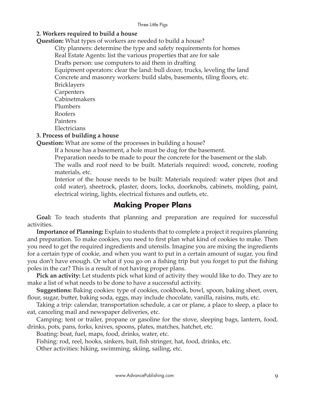#### Three Little Pigs

#### **2. Workers required to build a house**

**Question:** What types of workers are needed to build a house?

City planners: determine the type and safety requirements for homes

Real Estate Agents: list the various properties that are for sale

Drafts person: use computers to aid them in drafting

Equipment operators: clear the land: bull dozer, trucks, leveling the land Concrete and masonry workers: build slabs, basements, tiling floors, etc. Bricklayers

**Carpenters** 

Cabinetmakers Plumbers

Roofers

Painters

Electricians

#### **3. Process of building a house**

**Question:** What are some of the processes in building a house?

If a house has a basement, a hole must be dug for the basement.

Preparation needs to be made to pour the concrete for the basement or the slab.

The walls and roof need to be built. Materials required: wood, concrete, roofing materials, etc.

Interior of the house needs to be built: Materials required: water pipes (hot and cold water), sheetrock, plaster, doors, locks, doorknobs, cabinets, molding, paint, electrical wiring, lights, electrical fixtures and outlets, etc.

## **Making Proper Plans**

**Goal:** To teach students that planning and preparation are required for successful activities.

**Importance of Planning:** Explain to students that to complete a project it requires planning and preparation. To make cookies, you need to first plan what kind of cookies to make. Then you need to get the required ingredients and utensils. Imagine you are mixing the ingredients for a certain type of cookie, and when you want to put in a certain amount of sugar, you find you don't have enough. Or what if you go on a fishing trip but you forget to put the fishing poles in the car? This is a result of not having proper plans.

**Pick an activity:** Let students pick what kind of activity they would like to do. They are to make a list of what needs to be done to have a successful activity.

**Suggestions:** Baking cookies: type of cookies, cookbook, bowl, spoon, baking sheet, oven, flour, sugar, butter, baking soda, eggs, may include chocolate, vanilla, raisins, nuts, etc.

Taking a trip: calendar, transportation schedule, a car or plane, a place to sleep, a place to eat, canceling mail and newspaper deliveries, etc.

Camping: tent or trailer, propane or gasoline for the stove, sleeping bags, lantern, food, drinks, pots, pans, forks, knives, spoons, plates, matches, hatchet, etc.

Boating: boat, fuel, maps, food, drinks, water, etc.

Fishing: rod, reel, hooks, sinkers, bait, fish stringer, hat, food, drinks, etc.

Other activities: hiking, swimming, skiing, sailing, etc.